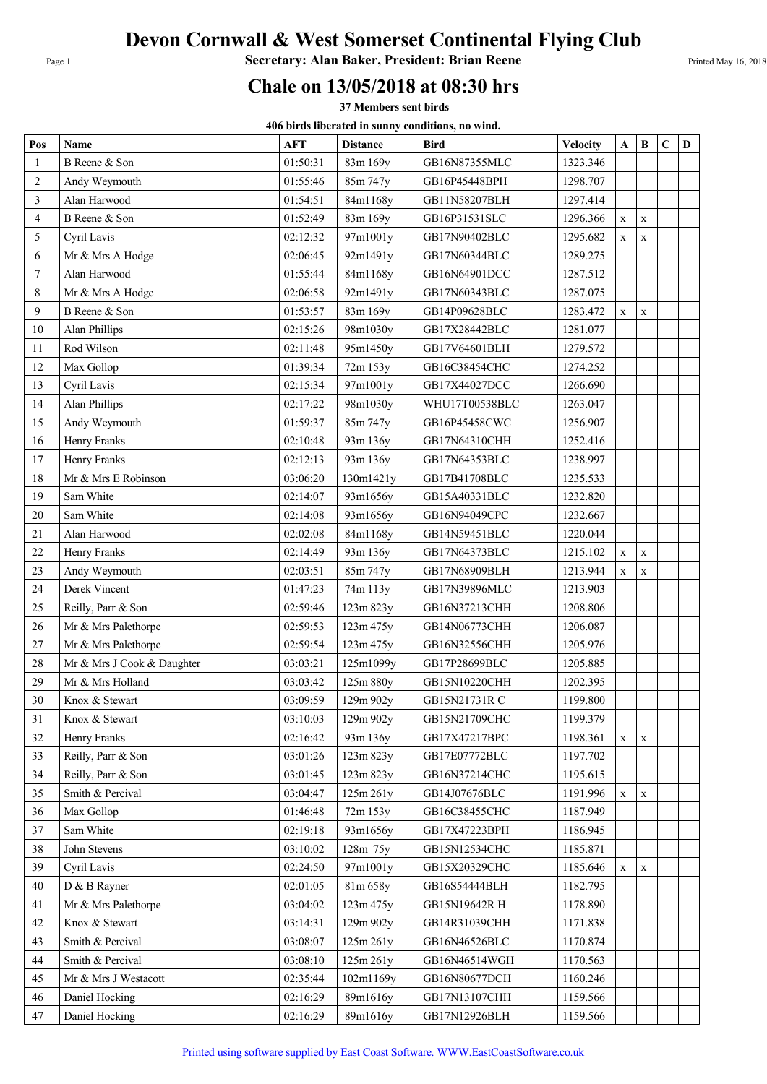## Devon Cornwall & West Somerset Continental Flying Club

Page 1 **Secretary: Alan Baker, President: Brian Reene** Printed May 16, 2018

## Chale on 13/05/2018 at 08:30 hrs

37 Members sent birds

406 birds liberated in sunny conditions, no wind.

| Pos            | Name                       | <b>AFT</b> | <b>Distance</b> | <b>Bird</b>    | <b>Velocity</b> | A            | $\bf{B}$    | $\mathbf C$ | D |
|----------------|----------------------------|------------|-----------------|----------------|-----------------|--------------|-------------|-------------|---|
| 1              | B Reene & Son              | 01:50:31   | 83m 169y        | GB16N87355MLC  | 1323.346        |              |             |             |   |
| $\overline{2}$ | Andy Weymouth              | 01:55:46   | 85m 747y        | GB16P45448BPH  | 1298.707        |              |             |             |   |
| 3              | Alan Harwood               | 01:54:51   | 84m1168y        | GB11N58207BLH  | 1297.414        |              |             |             |   |
| $\overline{4}$ | B Reene & Son              | 01:52:49   | 83m 169y        | GB16P31531SLC  | 1296.366        | $\mathbf{X}$ | X           |             |   |
| 5              | Cyril Lavis                | 02:12:32   | 97m1001y        | GB17N90402BLC  | 1295.682        | $\mathbf X$  | $\mathbf X$ |             |   |
| 6              | Mr & Mrs A Hodge           | 02:06:45   | 92m1491y        | GB17N60344BLC  | 1289.275        |              |             |             |   |
| $\overline{7}$ | Alan Harwood               | 01:55:44   | 84m1168y        | GB16N64901DCC  | 1287.512        |              |             |             |   |
| 8              | Mr & Mrs A Hodge           | 02:06:58   | 92m1491y        | GB17N60343BLC  | 1287.075        |              |             |             |   |
| 9              | B Reene & Son              | 01:53:57   | 83m 169y        | GB14P09628BLC  | 1283.472        | $\mathbf{X}$ | X           |             |   |
| 10             | Alan Phillips              | 02:15:26   | 98m1030y        | GB17X28442BLC  | 1281.077        |              |             |             |   |
| 11             | Rod Wilson                 | 02:11:48   | 95m1450y        | GB17V64601BLH  | 1279.572        |              |             |             |   |
| 12             | Max Gollop                 | 01:39:34   | 72m 153y        | GB16C38454CHC  | 1274.252        |              |             |             |   |
| 13             | Cyril Lavis                | 02:15:34   | 97m1001y        | GB17X44027DCC  | 1266.690        |              |             |             |   |
| 14             | Alan Phillips              | 02:17:22   | 98m1030y        | WHU17T00538BLC | 1263.047        |              |             |             |   |
| 15             | Andy Weymouth              | 01:59:37   | 85m 747y        | GB16P45458CWC  | 1256.907        |              |             |             |   |
| 16             | Henry Franks               | 02:10:48   | 93m 136y        | GB17N64310CHH  | 1252.416        |              |             |             |   |
| 17             | Henry Franks               | 02:12:13   | 93m 136y        | GB17N64353BLC  | 1238.997        |              |             |             |   |
| 18             | Mr & Mrs E Robinson        | 03:06:20   | 130m1421y       | GB17B41708BLC  | 1235.533        |              |             |             |   |
| 19             | Sam White                  | 02:14:07   | 93m1656y        | GB15A40331BLC  | 1232.820        |              |             |             |   |
| 20             | Sam White                  | 02:14:08   | 93m1656y        | GB16N94049CPC  | 1232.667        |              |             |             |   |
| 21             | Alan Harwood               | 02:02:08   | 84m1168y        | GB14N59451BLC  | 1220.044        |              |             |             |   |
| 22             | Henry Franks               | 02:14:49   | 93m 136y        | GB17N64373BLC  | 1215.102        | $\mathbf X$  | $\mathbf x$ |             |   |
| 23             | Andy Weymouth              | 02:03:51   | 85m 747y        | GB17N68909BLH  | 1213.944        | X            | X           |             |   |
| 24             | Derek Vincent              | 01:47:23   | 74m 113y        | GB17N39896MLC  | 1213.903        |              |             |             |   |
| 25             | Reilly, Parr & Son         | 02:59:46   | 123m 823y       | GB16N37213CHH  | 1208.806        |              |             |             |   |
| 26             | Mr & Mrs Palethorpe        | 02:59:53   | 123m 475y       | GB14N06773CHH  | 1206.087        |              |             |             |   |
| 27             | Mr & Mrs Palethorpe        | 02:59:54   | 123m 475y       | GB16N32556CHH  | 1205.976        |              |             |             |   |
| 28             | Mr & Mrs J Cook & Daughter | 03:03:21   | 125m1099y       | GB17P28699BLC  | 1205.885        |              |             |             |   |
| 29             | Mr & Mrs Holland           | 03:03:42   | 125m 880y       | GB15N10220CHH  | 1202.395        |              |             |             |   |
| 30             | Knox & Stewart             | 03:09:59   | 129m 902y       | GB15N21731R C  | 1199.800        |              |             |             |   |
| 31             | Knox & Stewart             | 03:10:03   | 129m 902y       | GB15N21709CHC  | 1199.379        |              |             |             |   |
| 32             | Henry Franks               | 02:16:42   | 93m 136y        | GB17X47217BPC  | 1198.361        | $\mathbf X$  | $\mathbf X$ |             |   |
| 33             | Reilly, Parr & Son         | 03:01:26   | 123m 823y       | GB17E07772BLC  | 1197.702        |              |             |             |   |
| 34             | Reilly, Parr & Son         | 03:01:45   | 123m 823y       | GB16N37214CHC  | 1195.615        |              |             |             |   |
| 35             | Smith & Percival           | 03:04:47   | 125m 261y       | GB14J07676BLC  | 1191.996        | $\mathbf X$  | $\mathbf X$ |             |   |
| 36             | Max Gollop                 | 01:46:48   | 72m 153y        | GB16C38455CHC  | 1187.949        |              |             |             |   |
| 37             | Sam White                  | 02:19:18   | 93m1656y        | GB17X47223BPH  | 1186.945        |              |             |             |   |
| 38             | John Stevens               | 03:10:02   | 128m 75y        | GB15N12534CHC  | 1185.871        |              |             |             |   |
| 39             | Cyril Lavis                | 02:24:50   | 97m1001y        | GB15X20329CHC  | 1185.646        | $\mathbf X$  | X           |             |   |
| 40             | D & B Rayner               | 02:01:05   | 81m 658y        | GB16S54444BLH  | 1182.795        |              |             |             |   |
| 41             | Mr & Mrs Palethorpe        | 03:04:02   | 123m 475y       | GB15N19642R H  | 1178.890        |              |             |             |   |
| 42             | Knox & Stewart             | 03:14:31   | 129m 902y       | GB14R31039CHH  | 1171.838        |              |             |             |   |
| 43             | Smith & Percival           | 03:08:07   | 125m 261y       | GB16N46526BLC  | 1170.874        |              |             |             |   |
| 44             | Smith & Percival           | 03:08:10   | 125m 261y       | GB16N46514WGH  | 1170.563        |              |             |             |   |
| 45             | Mr & Mrs J Westacott       | 02:35:44   | 102m1169y       | GB16N80677DCH  | 1160.246        |              |             |             |   |
| 46             | Daniel Hocking             | 02:16:29   | 89m1616y        | GB17N13107CHH  | 1159.566        |              |             |             |   |
| 47             | Daniel Hocking             | 02:16:29   | 89m1616y        | GB17N12926BLH  | 1159.566        |              |             |             |   |